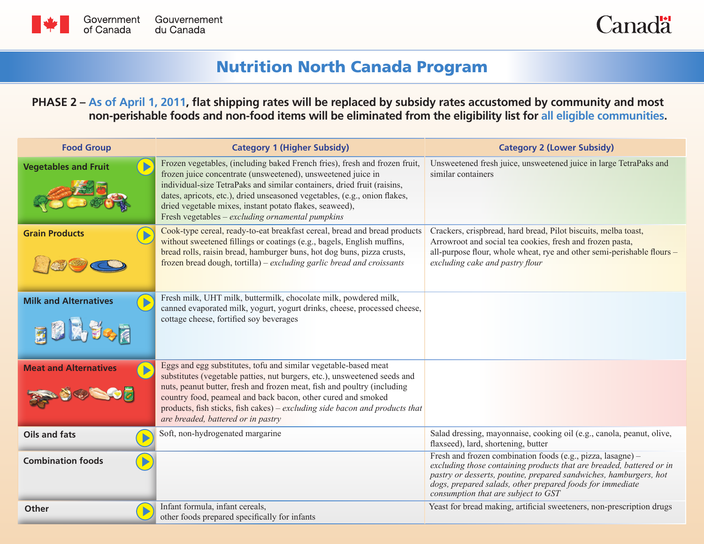



## Nutrition North Canada Program

## **PHASE 2 – As of April 1, 2011, flat shipping rates will be replaced by subsidy rates accustomed by community and most non-perishable foods and non-food items will be eliminated from the eligibility list for all eligible communities.**

| <b>Food Group</b>            | <b>Category 1 (Higher Subsidy)</b>                                                                                                                                                                                                                                                                                                                                                                                | <b>Category 2 (Lower Subsidy)</b>                                                                                                                                                                                                                                                                            |
|------------------------------|-------------------------------------------------------------------------------------------------------------------------------------------------------------------------------------------------------------------------------------------------------------------------------------------------------------------------------------------------------------------------------------------------------------------|--------------------------------------------------------------------------------------------------------------------------------------------------------------------------------------------------------------------------------------------------------------------------------------------------------------|
| <b>Vegetables and Fruit</b>  | Frozen vegetables, (including baked French fries), fresh and frozen fruit,<br>frozen juice concentrate (unsweetened), unsweetened juice in<br>individual-size TetraPaks and similar containers, dried fruit (raisins,<br>dates, apricots, etc.), dried unseasoned vegetables, (e.g., onion flakes,<br>dried vegetable mixes, instant potato flakes, seaweed),<br>Fresh vegetables – excluding ornamental pumpkins | Unsweetened fresh juice, unsweetened juice in large TetraPaks and<br>similar containers                                                                                                                                                                                                                      |
| <b>Grain Products</b>        | Cook-type cereal, ready-to-eat breakfast cereal, bread and bread products<br>without sweetened fillings or coatings (e.g., bagels, English muffins,<br>bread rolls, raisin bread, hamburger buns, hot dog buns, pizza crusts,<br>frozen bread dough, tortilla) – excluding garlic bread and croissants                                                                                                            | Crackers, crispbread, hard bread, Pilot biscuits, melba toast,<br>Arrowroot and social tea cookies, fresh and frozen pasta,<br>all-purpose flour, whole wheat, rye and other semi-perishable flours -<br>excluding cake and pastry flour                                                                     |
| <b>Milk and Alternatives</b> | Fresh milk, UHT milk, buttermilk, chocolate milk, powdered milk,<br>canned evaporated milk, yogurt, yogurt drinks, cheese, processed cheese,<br>cottage cheese, fortified soy beverages                                                                                                                                                                                                                           |                                                                                                                                                                                                                                                                                                              |
| <b>Meat and Alternatives</b> | Eggs and egg substitutes, tofu and similar vegetable-based meat<br>substitutes (vegetable patties, nut burgers, etc.), unsweetened seeds and<br>nuts, peanut butter, fresh and frozen meat, fish and poultry (including<br>country food, peameal and back bacon, other cured and smoked<br>products, fish sticks, fish cakes) – excluding side bacon and products that<br>are breaded, battered or in pastry      |                                                                                                                                                                                                                                                                                                              |
| <b>Oils and fats</b>         | Soft, non-hydrogenated margarine                                                                                                                                                                                                                                                                                                                                                                                  | Salad dressing, mayonnaise, cooking oil (e.g., canola, peanut, olive,<br>flaxseed), lard, shortening, butter                                                                                                                                                                                                 |
| <b>Combination foods</b>     |                                                                                                                                                                                                                                                                                                                                                                                                                   | Fresh and frozen combination foods (e.g., pizza, lasagne) -<br>excluding those containing products that are breaded, battered or in<br>pastry or desserts, poutine, prepared sandwiches, hamburgers, hot<br>dogs, prepared salads, other prepared foods for immediate<br>consumption that are subject to GST |
| <b>Other</b>                 | Infant formula, infant cereals,<br>other foods prepared specifically for infants                                                                                                                                                                                                                                                                                                                                  | Yeast for bread making, artificial sweeteners, non-prescription drugs                                                                                                                                                                                                                                        |